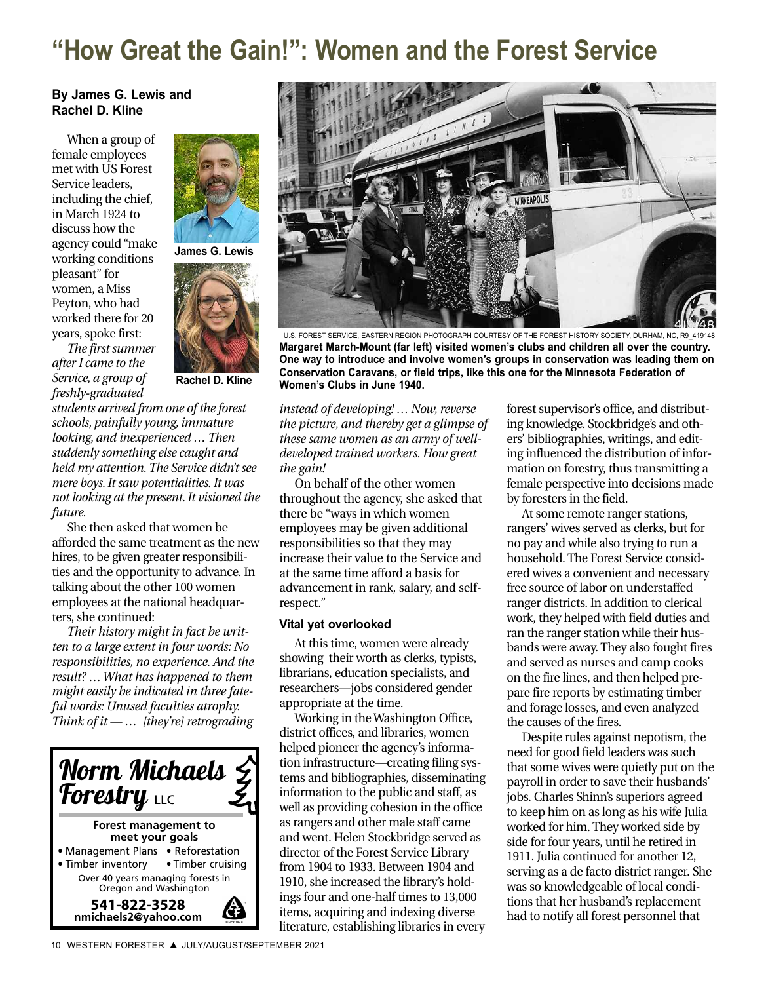# **"How Great the Gain!": Women and the Forest Service**

#### **By James G. Lewis and Rachel D. Kline**

When a group of female employees met with US Forest Service leaders, including the chief, in March 1924 to discuss how the agency could "make working conditions pleasant" for women, a Miss Peyton, who had worked there for 20 years, spoke first:



**Rachel D. Kline**

**James G. Lewis**

*students arrived from one of the forest schools, painfully young, immature looking, and inexperienced … Then suddenly something else caught and held my attention. The Service didn't see mere boys. It saw potentialities. It was not looking at the present.It visioned the future.*

She then asked that women be afforded the same treatment as the new hires, to be given greater responsibilities and the opportunity to advance. In talking about the other 100 women employees at the national headquarters, she continued:

*Their history might in fact be written to a large extent in four words: No responsibilities, no experience. And the result? … What has happened to them might easily be indicated in three fateful words: Unused faculties atrophy. Think of it — … [they're] retrograding*





U.S. FOREST SERVICE, EASTERN REGION PHOTOGRAPH COURTESY OF THE FOREST HISTORY SOCIETY, DURHAM, NC, R9\_419148 **Margaret March-Mount (far left) visited women's clubs and children all over the country. One way to introduce and involve women's groups in conservation was leading them on Conservation Caravans, or field trips, like this one for the Minnesota Federation of Women's Clubs in June 1940.**

*instead of developing! … Now, reverse the picture, and thereby get a glimpse of these same women as an army of welldeveloped trained workers. How great the gain!*

On behalf of the other women throughout the agency, she asked that there be "ways in which women employees may be given additional responsibilities so that they may increase their value to the Service and at the same time afford a basis for advancement in rank, salary, and selfrespect."

#### **Vital yet overlooked**

At this time, women were already showing their worth as clerks, typists, librarians, education specialists, and researchers—jobs considered gender appropriate at the time.

Working in the Washington Office, district offices, and libraries, women helped pioneer the agency's information infrastructure—creating filing systems and bibliographies, disseminating information to the public and staff, as well as providing cohesion in the office as rangers and other male staff came and went. Helen Stockbridge served as director of the Forest Service Library from 1904 to 1933. Between 1904 and 1910, she increased the library's holdings four and one-half times to 13,000 items, acquiring and indexing diverse literature, establishing libraries in every

forest supervisor's office, and distributing knowledge. Stockbridge's and others' bibliographies, writings, and editing influenced the distribution of information on forestry, thus transmitting a female perspective into decisions made by foresters in the field.

At some remote ranger stations, rangers' wives served as clerks, but for no pay and while also trying to run a household. The Forest Service considered wives a convenient and necessary free source of labor on understaffed ranger districts. In addition to clerical work, they helped with field duties and ran the ranger station while their husbands were away. They also fought fires and served as nurses and camp cooks on the fire lines, and then helped prepare fire reports by estimating timber and forage losses, and even analyzed the causes of the fires.

Despite rules against nepotism, the need for good field leaders was such that some wives were quietly put on the payroll in order to save their husbands' jobs. Charles Shinn's superiors agreed to keep him on as long as his wife Julia worked for him. They worked side by side for four years, until he retired in 1911. Julia continued for another 12, serving as a de facto district ranger. She was so knowledgeable of local conditions that her husband's replacement had to notify all forest personnel that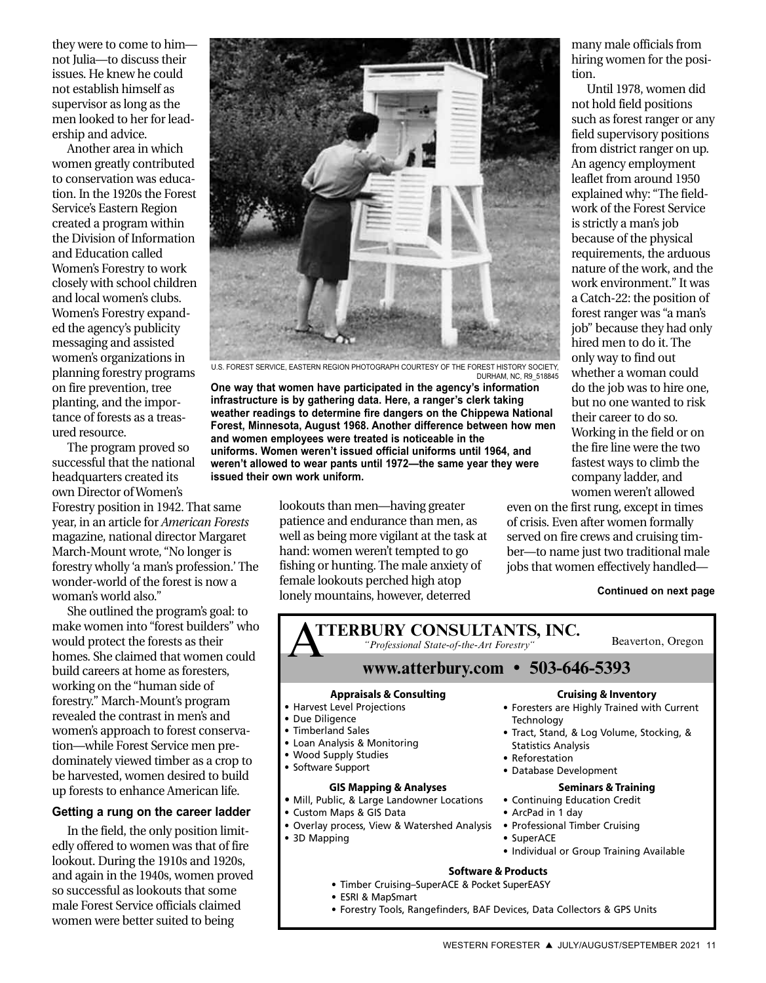they were to come to him not Julia—to discuss their issues. He knew he could not establish himself as supervisor as long as the men looked to her for leadership and advice.

Another area in which women greatly contributed to conservation was education. In the 1920s the Forest Service's Eastern Region created a program within the Division of Information and Education called Women's Forestry to work closely with school children and local women's clubs. Women's Forestry expanded the agency's publicity messaging and assisted women's organizations in planning forestry programs on fire prevention, tree planting, and the importance of forests as a treasured resource.

The program proved so successful that the national headquarters created its own Director of Women's

Forestry position in 1942. That same year, in an article for *American Forests* magazine, national director Margaret March-Mount wrote, "No longer is forestry wholly 'a man's profession.' The wonder-world of the forest is now a woman's world also."

She outlined the program's goal: to make women into "forest builders" who would protect the forests as their homes. She claimed that women could build careers at home as foresters, working on the "human side of forestry." March-Mount's program revealed the contrast in men's and women's approach to forest conservation—while Forest Service men predominately viewed timber as a crop to be harvested, women desired to build up forests to enhance American life.

#### **Getting a rung on the career ladder**

In the field, the only position limitedly offered to women was that of fire lookout. During the 1910s and 1920s, and again in the 1940s, women proved so successful as lookouts that some male Forest Service officials claimed women were better suited to being



U.S. FOREST SERVICE, EASTERN REGION PHOTOGRAPH COURTESY OF THE FOREST HISTORY SOCIETY, DURHAM, NC, R9\_518845

**One way that women have participated in the agency's information infrastructure is by gathering data. Here, a ranger's clerk taking weather readings to determine fire dangers on the Chippewa National Forest, Minnesota, August 1968. Another difference between how men and women employees were treated is noticeable in the uniforms. Women weren't issued official uniforms until 1964, and weren't allowed to wear pants until 1972—the same year they were issued their own work uniform.** 

> lookouts than men—having greater patience and endurance than men, as well as being more vigilant at the task at hand: women weren't tempted to go fishing or hunting. The male anxiety of female lookouts perched high atop lonely mountains, however, deterred

many male officials from hiring women for the position.

Until 1978, women did not hold field positions such as forest ranger or any field supervisory positions from district ranger on up. An agency employment leaflet from around 1950 explained why: "The fieldwork of the Forest Service is strictly a man's job because of the physical requirements, the arduous nature of the work, and the work environment." It was a Catch-22: the position of forest ranger was "a man's job" because they had only hired men to do it. The only way to find out whether a woman could do the job was to hire one, but no one wanted to risk their career to do so. Working in the field or on the fire line were the two fastest ways to climb the company ladder, and women weren't allowed

even on the first rung, except in times of crisis. Even after women formally served on fire crews and cruising timber—to name just two traditional male jobs that women effectively handled—

#### **Continued on next page**

**Appraisals & Consulting** • Harvest Level Projections • Due Diligence • Timberland Sales • Loan Analysis & Monitoring • Wood Supply Studies • Software Support **GIS Mapping & Analyses** • Mill, Public, & Large Landowner Locations • Custom Maps & GIS Data • Overlay process, View & Watershed Analysis • 3D Mapping **Cruising & Inventory** • Foresters are Highly Trained with Current **Technology** • Tract, Stand, & Log Volume, Stocking, & Statistics Analysis • Reforestation • Database Development **Seminars & Training** • Continuing Education Credit • ArcPad in 1 day • Professional Timber Cruising • SuperACE • Individual or Group Training Available **ATTERBURY CONSULTANTS, INC.**<br>
"Professional State-of-the-Art Forestry" Beaverton, Oregon<br>
WWW.offorbury.com . 503.646.5303 **www.atterbury.com • 503-646-5393** *"Professional State-of-the-Art Forestry"* **Software & Products** • Timber Cruising–SuperACE & Pocket SuperEASY • ESRI & MapSmart • Forestry Tools, Rangefinders, BAF Devices, Data Collectors & GPS Units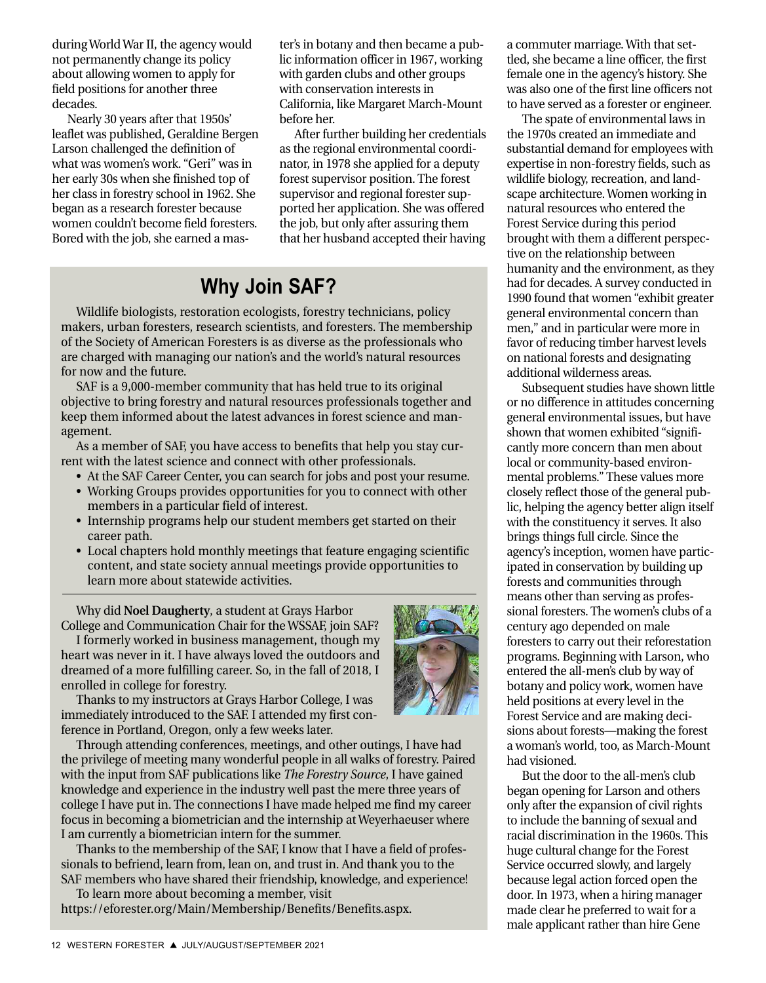during World War II, the agency would not permanently change its policy about allowing women to apply for field positions for another three decades.

Nearly 30 years after that 1950s' leaflet was published, Geraldine Bergen Larson challenged the definition of what was women's work. "Geri" was in her early 30s when she finished top of her class in forestry school in 1962. She began as a research forester because women couldn't become field foresters. Bored with the job, she earned a master's in botany and then became a public information officer in 1967, working with garden clubs and other groups with conservation interests in California, like Margaret March-Mount before her.

After further building her credentials as the regional environmental coordinator, in 1978 she applied for a deputy forest supervisor position. The forest supervisor and regional forester supported her application. She was offered the job, but only after assuring them that her husband accepted their having

# **Why Join SAF?**

Wildlife biologists, restoration ecologists, forestry technicians, policy makers, urban foresters, research scientists, and foresters. The membership of the Society of American Foresters is as diverse as the professionals who are charged with managing our nation's and the world's natural resources for now and the future.

SAF is a 9,000-member community that has held true to its original objective to bring forestry and natural resources professionals together and keep them informed about the latest advances in forest science and management.

As a member of SAF, you have access to benefits that help you stay current with the latest science and connect with other professionals.

- At the SAF Career Center, you can search for jobs and post your resume.
- Working Groups provides opportunities for you to connect with other members in a particular field of interest.
- Internship programs help our student members get started on their career path.
- Local chapters hold monthly meetings that feature engaging scientific content, and state society annual meetings provide opportunities to learn more about statewide activities.

Why did **Noel Daugherty**, a student at Grays Harbor College and Communication Chair for the WSSAF, join SAF?

I formerly worked in business management, though my heart was never in it. I have always loved the outdoors and dreamed of a more fulfilling career. So, in the fall of 2018, I enrolled in college for forestry.

Thanks to my instructors at Grays Harbor College, I was immediately introduced to the SAF. I attended my first conference in Portland, Oregon, only a few weeks later.

Through attending conferences, meetings, and other outings, I have had the privilege of meeting many wonderful people in all walks of forestry. Paired with the input from SAF publications like *The Forestry Source*, I have gained knowledge and experience in the industry well past the mere three years of college I have put in. The connections I have made helped me find my career focus in becoming a biometrician and the internship at Weyerhaeuser where I am currently a biometrician intern for the summer.

Thanks to the membership of the SAF, I know that I have a field of professionals to befriend, learn from, lean on, and trust in. And thank you to the SAF members who have shared their friendship, knowledge, and experience!

To learn more about becoming a member, visit [https://eforester.org/Main/Membership/Benefits/Benefits.aspx.](https://eforester.org/Main/Membership/Benefits/Benefits.aspx) a commuter marriage. With that settled, she became a line officer, the first female one in the agency's history. She was also one of the first line officers not to have served as a forester or engineer.

The spate of environmental laws in the 1970s created an immediate and substantial demand for employees with expertise in non-forestry fields, such as wildlife biology, recreation, and landscape architecture. Women working in natural resources who entered the Forest Service during this period brought with them a different perspective on the relationship between humanity and the environment, as they had for decades. A survey conducted in 1990 found that women "exhibit greater general environmental concern than men," and in particular were more in favor of reducing timber harvest levels on national forests and designating additional wilderness areas.

Subsequent studies have shown little or no difference in attitudes concerning general environmental issues, but have shown that women exhibited "significantly more concern than men about local or community-based environmental problems." These values more closely reflect those of the general public, helping the agency better align itself with the constituency it serves. It also brings things full circle. Since the agency's inception, women have participated in conservation by building up forests and communities through means other than serving as professional foresters. The women's clubs of a century ago depended on male foresters to carry out their reforestation programs. Beginning with Larson, who entered the all-men's club by way of botany and policy work, women have held positions at every level in the Forest Service and are making decisions about forests—making the forest a woman's world, too, as March-Mount had visioned.

But the door to the all-men's club began opening for Larson and others only after the expansion of civil rights to include the banning of sexual and racial discrimination in the 1960s. This huge cultural change for the Forest Service occurred slowly, and largely because legal action forced open the door. In 1973, when a hiring manager made clear he preferred to wait for a male applicant rather than hire Gene